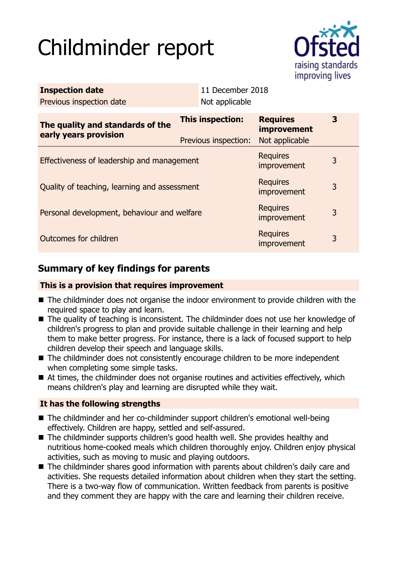# Childminder report



| <b>Inspection date</b><br>Previous inspection date        | 11 December 2018<br>Not applicable       |                                                         |   |
|-----------------------------------------------------------|------------------------------------------|---------------------------------------------------------|---|
| The quality and standards of the<br>early years provision | This inspection:<br>Previous inspection: | <b>Requires</b><br><b>improvement</b><br>Not applicable | 3 |
| Effectiveness of leadership and management                |                                          | <b>Requires</b><br>improvement                          | 3 |
| Quality of teaching, learning and assessment              |                                          | <b>Requires</b><br>improvement                          | 3 |
| Personal development, behaviour and welfare               |                                          | <b>Requires</b><br>improvement                          | 3 |
| Outcomes for children                                     |                                          | <b>Requires</b><br>improvement                          | 3 |

# **Summary of key findings for parents**

## **This is a provision that requires improvement**

- The childminder does not organise the indoor environment to provide children with the required space to play and learn.
- The quality of teaching is inconsistent. The childminder does not use her knowledge of children's progress to plan and provide suitable challenge in their learning and help them to make better progress. For instance, there is a lack of focused support to help children develop their speech and language skills.
- $\blacksquare$  The childminder does not consistently encourage children to be more independent when completing some simple tasks.
- $\blacksquare$  At times, the childminder does not organise routines and activities effectively, which means children's play and learning are disrupted while they wait.

## **It has the following strengths**

- The childminder and her co-childminder support children's emotional well-being effectively. Children are happy, settled and self-assured.
- $\blacksquare$  The childminder supports children's good health well. She provides healthy and nutritious home-cooked meals which children thoroughly enjoy. Children enjoy physical activities, such as moving to music and playing outdoors.
- The childminder shares good information with parents about children's daily care and activities. She requests detailed information about children when they start the setting. There is a two-way flow of communication. Written feedback from parents is positive and they comment they are happy with the care and learning their children receive.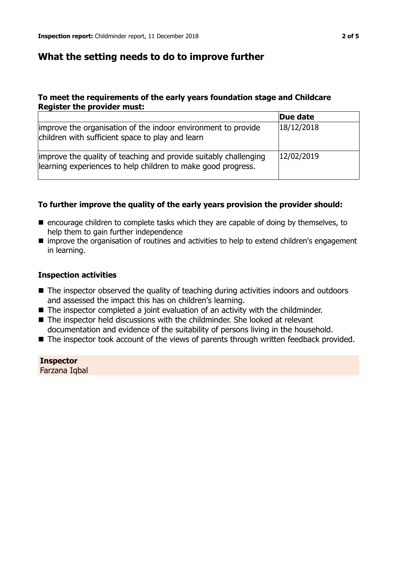## **What the setting needs to do to improve further**

#### **To meet the requirements of the early years foundation stage and Childcare Register the provider must:**

|                                                                                                                                  | Due date   |
|----------------------------------------------------------------------------------------------------------------------------------|------------|
| improve the organisation of the indoor environment to provide<br>children with sufficient space to play and learn                | 18/12/2018 |
| improve the quality of teaching and provide suitably challenging<br>learning experiences to help children to make good progress. | 12/02/2019 |

#### **To further improve the quality of the early years provision the provider should:**

- encourage children to complete tasks which they are capable of doing by themselves, to help them to gain further independence
- $\blacksquare$  improve the organisation of routines and activities to help to extend children's engagement in learning.

#### **Inspection activities**

- The inspector observed the quality of teaching during activities indoors and outdoors and assessed the impact this has on children's learning.
- $\blacksquare$  The inspector completed a joint evaluation of an activity with the childminder.
- The inspector held discussions with the childminder. She looked at relevant documentation and evidence of the suitability of persons living in the household.
- The inspector took account of the views of parents through written feedback provided.

**Inspector** Farzana Iqbal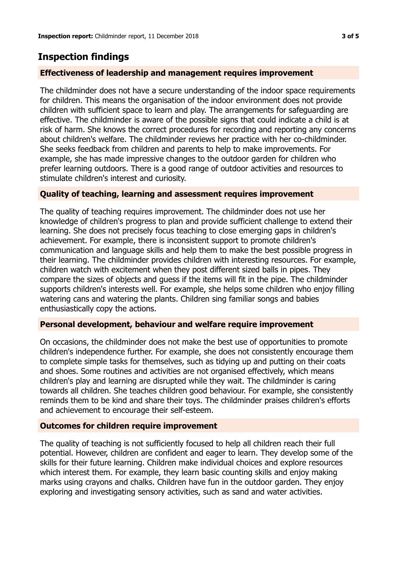# **Inspection findings**

#### **Effectiveness of leadership and management requires improvement**

The childminder does not have a secure understanding of the indoor space requirements for children. This means the organisation of the indoor environment does not provide children with sufficient space to learn and play. The arrangements for safeguarding are effective. The childminder is aware of the possible signs that could indicate a child is at risk of harm. She knows the correct procedures for recording and reporting any concerns about children's welfare. The childminder reviews her practice with her co-childminder. She seeks feedback from children and parents to help to make improvements. For example, she has made impressive changes to the outdoor garden for children who prefer learning outdoors. There is a good range of outdoor activities and resources to stimulate children's interest and curiosity.

#### **Quality of teaching, learning and assessment requires improvement**

The quality of teaching requires improvement. The childminder does not use her knowledge of children's progress to plan and provide sufficient challenge to extend their learning. She does not precisely focus teaching to close emerging gaps in children's achievement. For example, there is inconsistent support to promote children's communication and language skills and help them to make the best possible progress in their learning. The childminder provides children with interesting resources. For example, children watch with excitement when they post different sized balls in pipes. They compare the sizes of objects and guess if the items will fit in the pipe. The childminder supports children's interests well. For example, she helps some children who enjoy filling watering cans and watering the plants. Children sing familiar songs and babies enthusiastically copy the actions.

#### **Personal development, behaviour and welfare require improvement**

On occasions, the childminder does not make the best use of opportunities to promote children's independence further. For example, she does not consistently encourage them to complete simple tasks for themselves, such as tidying up and putting on their coats and shoes. Some routines and activities are not organised effectively, which means children's play and learning are disrupted while they wait. The childminder is caring towards all children. She teaches children good behaviour. For example, she consistently reminds them to be kind and share their toys. The childminder praises children's efforts and achievement to encourage their self-esteem.

#### **Outcomes for children require improvement**

The quality of teaching is not sufficiently focused to help all children reach their full potential. However, children are confident and eager to learn. They develop some of the skills for their future learning. Children make individual choices and explore resources which interest them. For example, they learn basic counting skills and enjoy making marks using crayons and chalks. Children have fun in the outdoor garden. They enjoy exploring and investigating sensory activities, such as sand and water activities.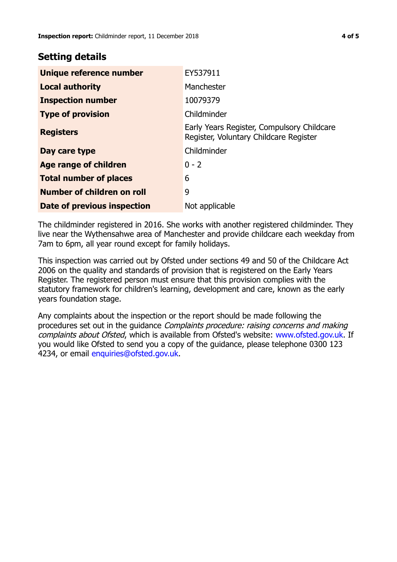## **Setting details**

| Unique reference number       | EY537911                                                                             |
|-------------------------------|--------------------------------------------------------------------------------------|
| <b>Local authority</b>        | Manchester                                                                           |
| <b>Inspection number</b>      | 10079379                                                                             |
| <b>Type of provision</b>      | Childminder                                                                          |
| <b>Registers</b>              | Early Years Register, Compulsory Childcare<br>Register, Voluntary Childcare Register |
| Day care type                 | Childminder                                                                          |
| <b>Age range of children</b>  | $0 - 2$                                                                              |
| <b>Total number of places</b> | 6                                                                                    |
| Number of children on roll    | 9                                                                                    |
| Date of previous inspection   | Not applicable                                                                       |

The childminder registered in 2016. She works with another registered childminder. They live near the Wythensahwe area of Manchester and provide childcare each weekday from 7am to 6pm, all year round except for family holidays.

This inspection was carried out by Ofsted under sections 49 and 50 of the Childcare Act 2006 on the quality and standards of provision that is registered on the Early Years Register. The registered person must ensure that this provision complies with the statutory framework for children's learning, development and care, known as the early years foundation stage.

Any complaints about the inspection or the report should be made following the procedures set out in the guidance Complaints procedure: raising concerns and making complaints about Ofsted, which is available from Ofsted's website: www.ofsted.gov.uk. If you would like Ofsted to send you a copy of the guidance, please telephone 0300 123 4234, or email [enquiries@ofsted.gov.uk.](mailto:enquiries@ofsted.gov.uk)